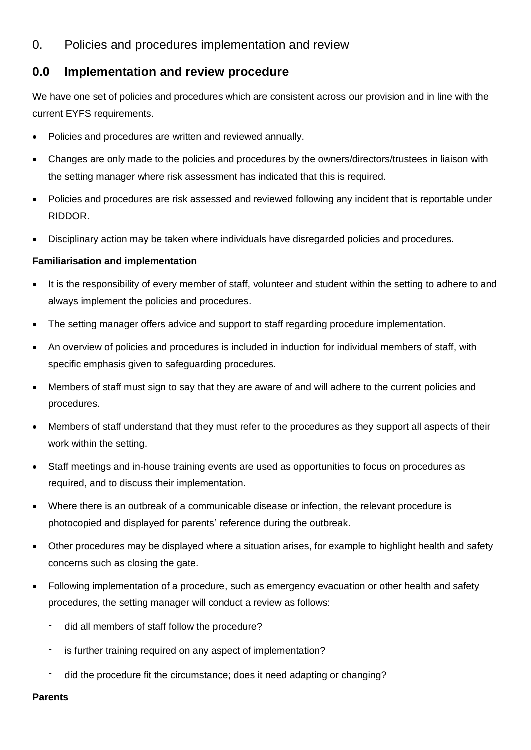## 0. Policies and procedures implementation and review

## **0.0 Implementation and review procedure**

We have one set of policies and procedures which are consistent across our provision and in line with the current EYFS requirements.

- Policies and procedures are written and reviewed annually.
- Changes are only made to the policies and procedures by the owners/directors/trustees in liaison with the setting manager where risk assessment has indicated that this is required.
- Policies and procedures are risk assessed and reviewed following any incident that is reportable under RIDDOR.
- Disciplinary action may be taken where individuals have disregarded policies and procedures.

## **Familiarisation and implementation**

- It is the responsibility of every member of staff, volunteer and student within the setting to adhere to and always implement the policies and procedures.
- The setting manager offers advice and support to staff regarding procedure implementation.
- An overview of policies and procedures is included in induction for individual members of staff, with specific emphasis given to safeguarding procedures.
- Members of staff must sign to say that they are aware of and will adhere to the current policies and procedures.
- Members of staff understand that they must refer to the procedures as they support all aspects of their work within the setting.
- Staff meetings and in-house training events are used as opportunities to focus on procedures as required, and to discuss their implementation.
- Where there is an outbreak of a communicable disease or infection, the relevant procedure is photocopied and displayed for parents' reference during the outbreak.
- Other procedures may be displayed where a situation arises, for example to highlight health and safety concerns such as closing the gate.
- Following implementation of a procedure, such as emergency evacuation or other health and safety procedures, the setting manager will conduct a review as follows:
	- did all members of staff follow the procedure?
	- is further training required on any aspect of implementation?
	- did the procedure fit the circumstance; does it need adapting or changing?

**Parents**